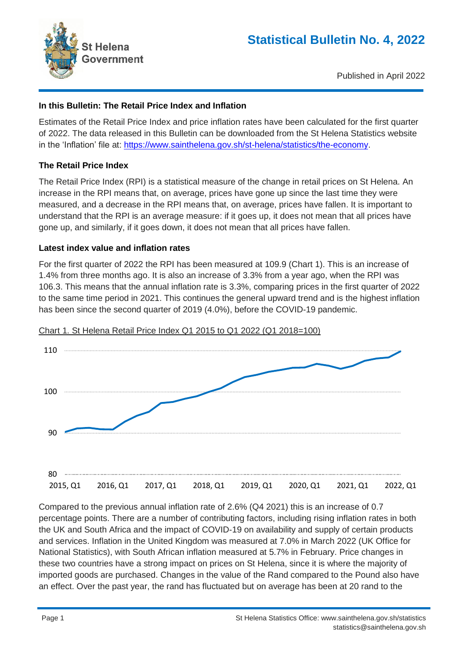

Published in April 2022

## **In this Bulletin: The Retail Price Index and Inflation**

Estimates of the Retail Price Index and price inflation rates have been calculated for the first quarter of 2022. The data released in this Bulletin can be downloaded from the St Helena Statistics website in the 'Inflation' file at: [https://www.sainthelena.gov.sh/st-helena/statistics/the-economy.](https://www.sainthelena.gov.sh/st-helena/statistics/the-economy)

### **The Retail Price Index**

The Retail Price Index (RPI) is a statistical measure of the change in retail prices on St Helena. An increase in the RPI means that, on average, prices have gone up since the last time they were measured, and a decrease in the RPI means that, on average, prices have fallen. It is important to understand that the RPI is an average measure: if it goes up, it does not mean that all prices have gone up, and similarly, if it goes down, it does not mean that all prices have fallen.

### **Latest index value and inflation rates**

For the first quarter of 2022 the RPI has been measured at 109.9 (Chart 1). This is an increase of 1.4% from three months ago. It is also an increase of 3.3% from a year ago, when the RPI was 106.3. This means that the annual inflation rate is 3.3%, comparing prices in the first quarter of 2022 to the same time period in 2021. This continues the general upward trend and is the highest inflation has been since the second quarter of 2019 (4.0%), before the COVID-19 pandemic.



Chart 1. St Helena Retail Price Index Q1 2015 to Q1 2022 (Q1 2018=100)

Compared to the previous annual inflation rate of 2.6% (Q4 2021) this is an increase of 0.7 percentage points. There are a number of contributing factors, including rising inflation rates in both the UK and South Africa and the impact of COVID-19 on availability and supply of certain products and services. Inflation in the United Kingdom was measured at 7.0% in March 2022 (UK Office for National Statistics), with South African inflation measured at 5.7% in February. Price changes in these two countries have a strong impact on prices on St Helena, since it is where the majority of imported goods are purchased. Changes in the value of the Rand compared to the Pound also have an effect. Over the past year, the rand has fluctuated but on average has been at 20 rand to the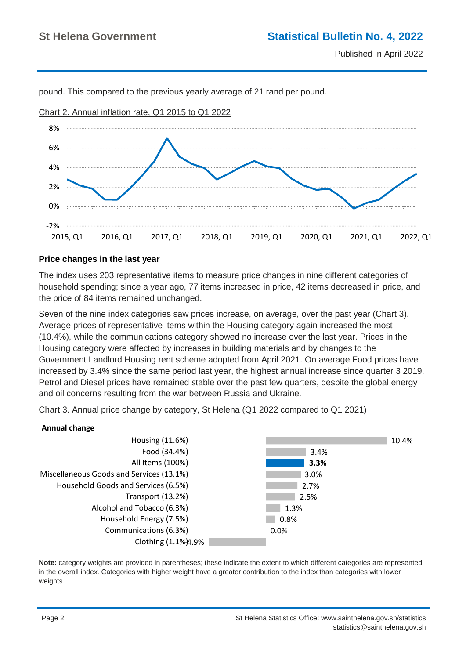

pound. This compared to the previous yearly average of 21 rand per pound.

# **Price changes in the last year**

The index uses 203 representative items to measure price changes in nine different categories of household spending; since a year ago, 77 items increased in price, 42 items decreased in price, and the price of 84 items remained unchanged.

Seven of the nine index categories saw prices increase, on average, over the past year (Chart 3). Average prices of representative items within the Housing category again increased the most (10.4%), while the communications category showed no increase over the last year. Prices in the Housing category were affected by increases in building materials and by changes to the Government Landlord Housing rent scheme adopted from April 2021. On average Food prices have increased by 3.4% since the same period last year, the highest annual increase since quarter 3 2019. Petrol and Diesel prices have remained stable over the past few quarters, despite the global energy and oil concerns resulting from the war between Russia and Ukraine.



#### **Annual change**



**Note:** category weights are provided in parentheses; these indicate the extent to which different categories are represented in the overall index. Categories with higher weight have a greater contribution to the index than categories with lower weights.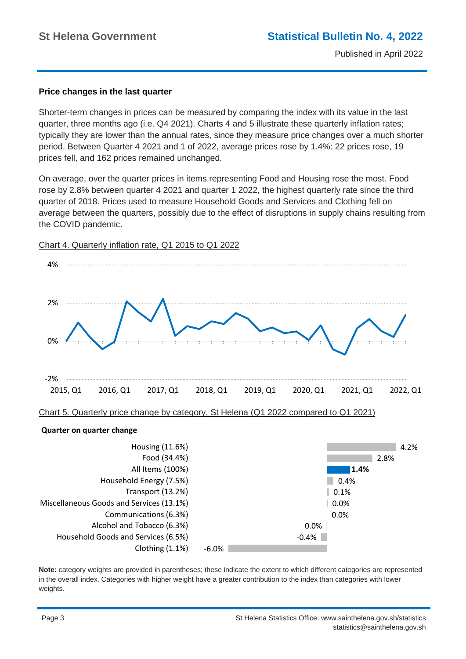#### **Price changes in the last quarter**

Shorter-term changes in prices can be measured by comparing the index with its value in the last quarter, three months ago (i.e. Q4 2021). Charts 4 and 5 illustrate these quarterly inflation rates; typically they are lower than the annual rates, since they measure price changes over a much shorter period. Between Quarter 4 2021 and 1 of 2022, average prices rose by 1.4%: 22 prices rose, 19 prices fell, and 162 prices remained unchanged.

On average, over the quarter prices in items representing Food and Housing rose the most. Food rose by 2.8% between quarter 4 2021 and quarter 1 2022, the highest quarterly rate since the third quarter of 2018. Prices used to measure Household Goods and Services and Clothing fell on average between the quarters, possibly due to the effect of disruptions in supply chains resulting from the COVID pandemic.



Chart 4. Quarterly inflation rate, Q1 2015 to Q1 2022

Chart 5. Quarterly price change by category, St Helena (Q1 2022 compared to Q1 2021)



**Note:** category weights are provided in parentheses; these indicate the extent to which different categories are represented in the overall index. Categories with higher weight have a greater contribution to the index than categories with lower weights.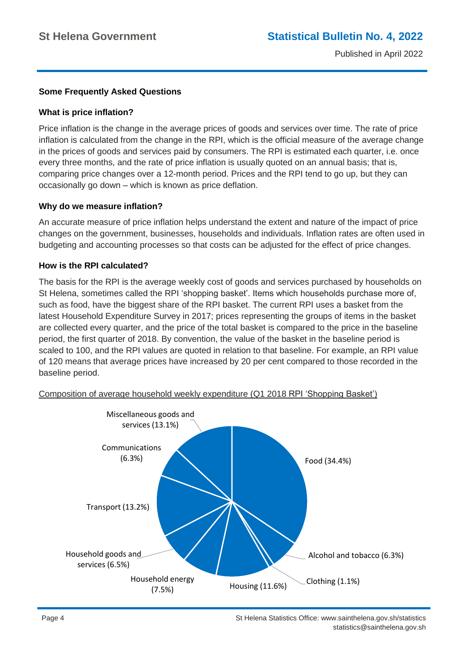## **Some Frequently Asked Questions**

### **What is price inflation?**

Price inflation is the change in the average prices of goods and services over time. The rate of price inflation is calculated from the change in the RPI, which is the official measure of the average change in the prices of goods and services paid by consumers. The RPI is estimated each quarter, i.e. once every three months, and the rate of price inflation is usually quoted on an annual basis; that is, comparing price changes over a 12-month period. Prices and the RPI tend to go up, but they can occasionally go down – which is known as price deflation.

### **Why do we measure inflation?**

An accurate measure of price inflation helps understand the extent and nature of the impact of price changes on the government, businesses, households and individuals. Inflation rates are often used in budgeting and accounting processes so that costs can be adjusted for the effect of price changes.

### **How is the RPI calculated?**

The basis for the RPI is the average weekly cost of goods and services purchased by households on St Helena, sometimes called the RPI 'shopping basket'. Items which households purchase more of, such as food, have the biggest share of the RPI basket. The current RPI uses a basket from the latest Household Expenditure Survey in 2017; prices representing the groups of items in the basket are collected every quarter, and the price of the total basket is compared to the price in the baseline period, the first quarter of 2018. By convention, the value of the basket in the baseline period is scaled to 100, and the RPI values are quoted in relation to that baseline. For example, an RPI value of 120 means that average prices have increased by 20 per cent compared to those recorded in the baseline period.



Composition of average household weekly expenditure (Q1 2018 RPI 'Shopping Basket')